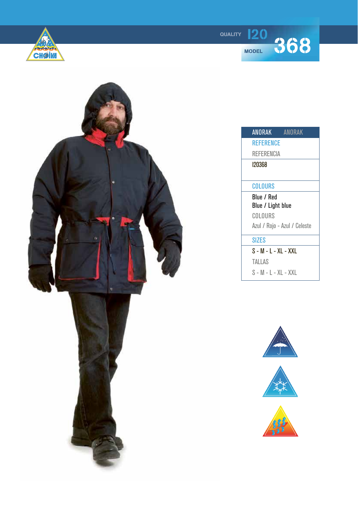

**120 368** 



| ANORAK                       | <b>ANORAK</b> |
|------------------------------|---------------|
|                              |               |
| <b>REFERENCE</b>             |               |
| REFERENCIA                   |               |
| 120368                       |               |
|                              |               |
| COLOURS                      |               |
| Blue / Red                   |               |
| Blue / Light blue            |               |
| COLOURS                      |               |
| Azul / Rojo - Azul / Celeste |               |
| <b>SIZES</b>                 |               |
| S - M - L - XL - XXL         |               |
| TALLAS                       |               |
| S - M - L - XL - XXL         |               |
|                              |               |